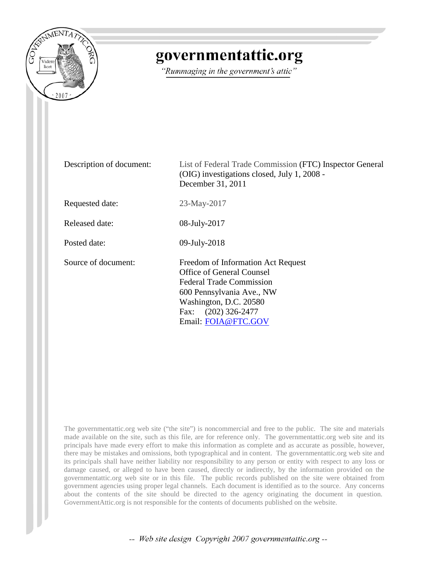

## governmentattic.org

"Rummaging in the government's attic"

| Description of document: | List of Federal Trade Commission (FTC) Inspector General<br>(OIG) investigations closed, July 1, 2008 -<br>December 31, 2011                                                                                 |
|--------------------------|--------------------------------------------------------------------------------------------------------------------------------------------------------------------------------------------------------------|
| Requested date:          | 23-May-2017                                                                                                                                                                                                  |
| Released date:           | 08-July-2017                                                                                                                                                                                                 |
| Posted date:             | 09-July-2018                                                                                                                                                                                                 |
| Source of document:      | Freedom of Information Act Request<br>Office of General Counsel<br><b>Federal Trade Commission</b><br>600 Pennsylvania Ave., NW<br>Washington, D.C. 20580<br>$(202)$ 326-2477<br>Fax:<br>Email: FOIA@FTC.GOV |

The governmentattic.org web site ("the site") is noncommercial and free to the public. The site and materials made available on the site, such as this file, are for reference only. The governmentattic.org web site and its principals have made every effort to make this information as complete and as accurate as possible, however, there may be mistakes and omissions, both typographical and in content. The governmentattic.org web site and its principals shall have neither liability nor responsibility to any person or entity with respect to any loss or damage caused, or alleged to have been caused, directly or indirectly, by the information provided on the governmentattic.org web site or in this file. The public records published on the site were obtained from government agencies using proper legal channels. Each document is identified as to the source. Any concerns about the contents of the site should be directed to the agency originating the document in question. GovernmentAttic.org is not responsible for the contents of documents published on the website.

-- Web site design Copyright 2007 governmentattic.org --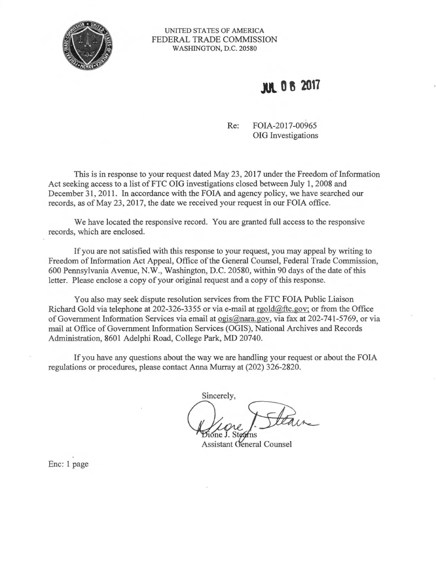

## UNITED STATES OF AMERICA FEDERAL TRADE COMMISSION WASHINGTON, D.C. 20580

## **JU\. 0 g 2017**

Re: FOIA-2017-00965 OIG Investigations

This is in response to your request dated May 23, 2017 under the Freedom of Information Act seeking access to a list of FTC OIG investigations closed between July 1, 2008 and December 31, 2011. In accordance with the FOIA and agency policy, we have searched our records, as of May 23, 2017, the date we received your request in our FOIA office.

We have located the responsive record. You are granted full access to the responsive records, which are enclosed.

If you are not satisfied with this response to your request, you may appeal by writing to Freedom of Information Act Appeal, Office of the General Counsel, Federal Trade Commission, 600 Pennsylvania Avenue, N.W., Washington, D.C. 20580, within 90 days of the date of this letter. Please enclose a copy of your original request and a copy of this response.

You also may seek dispute resolution services from the FTC FOIA Public Liaison Richard Gold via telephone at 202-326-3355 or via e-mail at rgold@ftc.gov; or from the Office of Government Information Services via email at ogis@nara.gov, via fax at 202-741-5769, or via mail at Office of Government Information Services (OGIS), National Archives and Records Administration, 8601 Adelphi Road, College Park, MD 20740.

If you have any questions about the way we are handling your request or about the FOIA regulations or procedures, please contact Anna Murray at (202) 326-2820.

Sincerely,

**Assistant General Counsel** 

Enc: 1 page